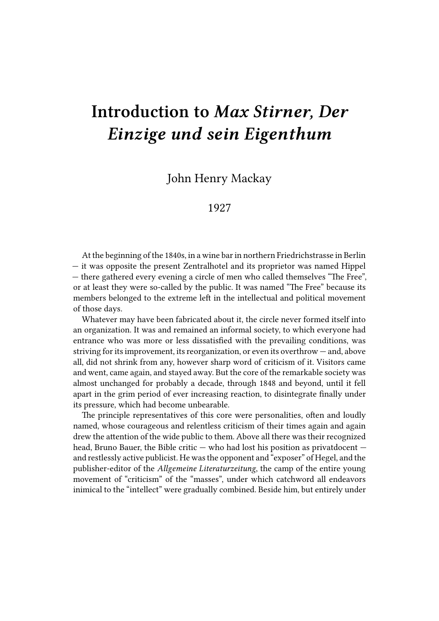## **Introduction to** *Max Stirner, Der Einzige und sein Eigenthum*

John Henry Mackay

## 1927

At the beginning of the 1840s, in a wine bar in northern Friedrichstrasse in Berlin — it was opposite the present Zentralhotel and its proprietor was named Hippel — there gathered every evening a circle of men who called themselves "The Free", or at least they were so-called by the public. It was named "The Free" because its members belonged to the extreme left in the intellectual and political movement of those days.

Whatever may have been fabricated about it, the circle never formed itself into an organization. It was and remained an informal society, to which everyone had entrance who was more or less dissatisfied with the prevailing conditions, was striving for its improvement, its reorganization, or even its overthrow — and, above all, did not shrink from any, however sharp word of criticism of it. Visitors came and went, came again, and stayed away. But the core of the remarkable society was almost unchanged for probably a decade, through 1848 and beyond, until it fell apart in the grim period of ever increasing reaction, to disintegrate finally under its pressure, which had become unbearable.

The principle representatives of this core were personalities, often and loudly named, whose courageous and relentless criticism of their times again and again drew the attention of the wide public to them. Above all there was their recognized head, Bruno Bauer, the Bible critic — who had lost his position as privatdocent and restlessly active publicist. He was the opponent and "exposer" of Hegel, and the publisher-editor of the *Allgemeine Literaturzeitung*, the camp of the entire young movement of "criticism" of the "masses", under which catchword all endeavors inimical to the "intellect" were gradually combined. Beside him, but entirely under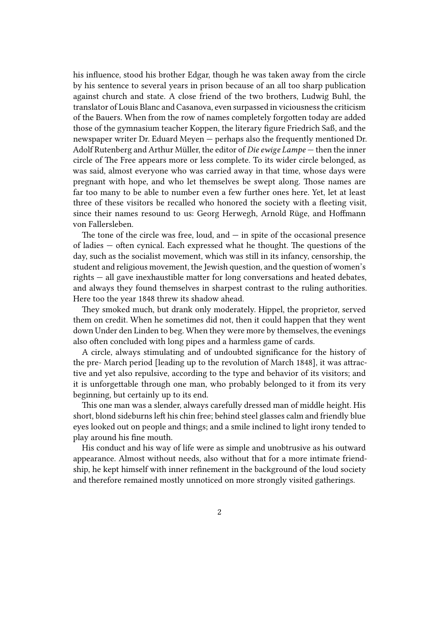his influence, stood his brother Edgar, though he was taken away from the circle by his sentence to several years in prison because of an all too sharp publication against church and state. A close friend of the two brothers, Ludwig Buhl, the translator of Louis Blanc and Casanova, even surpassed in viciousness the criticism of the Bauers. When from the row of names completely forgotten today are added those of the gymnasium teacher Koppen, the literary figure Friedrich Saß, and the newspaper writer Dr. Eduard Meyen — perhaps also the frequently mentioned Dr. Adolf Rutenberg and Arthur Müller, the editor of *Die ewige Lampe* — then the inner circle of The Free appears more or less complete. To its wider circle belonged, as was said, almost everyone who was carried away in that time, whose days were pregnant with hope, and who let themselves be swept along. Those names are far too many to be able to number even a few further ones here. Yet, let at least three of these visitors be recalled who honored the society with a fleeting visit, since their names resound to us: Georg Herwegh, Arnold Rüge, and Hoffmann von Fallersleben.

The tone of the circle was free, loud, and  $-$  in spite of the occasional presence of ladies — often cynical. Each expressed what he thought. The questions of the day, such as the socialist movement, which was still in its infancy, censorship, the student and religious movement, the Jewish question, and the question of women's rights — all gave inexhaustible matter for long conversations and heated debates, and always they found themselves in sharpest contrast to the ruling authorities. Here too the year 1848 threw its shadow ahead.

They smoked much, but drank only moderately. Hippel, the proprietor, served them on credit. When he sometimes did not, then it could happen that they went down Under den Linden to beg. When they were more by themselves, the evenings also often concluded with long pipes and a harmless game of cards.

A circle, always stimulating and of undoubted significance for the history of the pre- March period [leading up to the revolution of March 1848], it was attractive and yet also repulsive, according to the type and behavior of its visitors; and it is unforgettable through one man, who probably belonged to it from its very beginning, but certainly up to its end.

This one man was a slender, always carefully dressed man of middle height. His short, blond sideburns left his chin free; behind steel glasses calm and friendly blue eyes looked out on people and things; and a smile inclined to light irony tended to play around his fine mouth.

His conduct and his way of life were as simple and unobtrusive as his outward appearance. Almost without needs, also without that for a more intimate friendship, he kept himself with inner refinement in the background of the loud society and therefore remained mostly unnoticed on more strongly visited gatherings.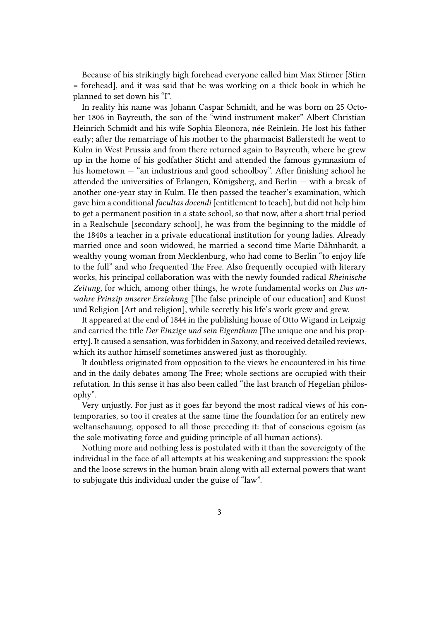Because of his strikingly high forehead everyone called him Max Stirner [Stirn = forehead], and it was said that he was working on a thick book in which he planned to set down his "I".

In reality his name was Johann Caspar Schmidt, and he was born on 25 October 1806 in Bayreuth, the son of the "wind instrument maker" Albert Christian Heinrich Schmidt and his wife Sophia Eleonora, née Reinlein. He lost his father early; after the remarriage of his mother to the pharmacist Ballerstedt he went to Kulm in West Prussia and from there returned again to Bayreuth, where he grew up in the home of his godfather Sticht and attended the famous gymnasium of his hometown — "an industrious and good schoolboy". After finishing school he attended the universities of Erlangen, Königsberg, and Berlin — with a break of another one-year stay in Kulm. He then passed the teacher's examination, which gave him a conditional *facultas docendi* [entitlement to teach], but did not help him to get a permanent position in a state school, so that now, after a short trial period in a Realschule [secondary school], he was from the beginning to the middle of the 1840s a teacher in a private educational institution for young ladies. Already married once and soon widowed, he married a second time Marie Dähnhardt, a wealthy young woman from Mecklenburg, who had come to Berlin "to enjoy life to the full" and who frequented The Free. Also frequently occupied with literary works, his principal collaboration was with the newly founded radical *Rheinische Zeitung*, for which, among other things, he wrote fundamental works on *Das unwahre Prinzip unserer Erziehung* [The false principle of our education] and Kunst und Religion [Art and religion], while secretly his life's work grew and grew.

It appeared at the end of 1844 in the publishing house of Otto Wigand in Leipzig and carried the title *Der Einzige und sein Eigenthum* [The unique one and his property]. It caused a sensation, was forbidden in Saxony, and received detailed reviews, which its author himself sometimes answered just as thoroughly.

It doubtless originated from opposition to the views he encountered in his time and in the daily debates among The Free; whole sections are occupied with their refutation. In this sense it has also been called "the last branch of Hegelian philosophy".

Very unjustly. For just as it goes far beyond the most radical views of his contemporaries, so too it creates at the same time the foundation for an entirely new weltanschauung, opposed to all those preceding it: that of conscious egoism (as the sole motivating force and guiding principle of all human actions).

Nothing more and nothing less is postulated with it than the sovereignty of the individual in the face of all attempts at his weakening and suppression: the spook and the loose screws in the human brain along with all external powers that want to subjugate this individual under the guise of "law".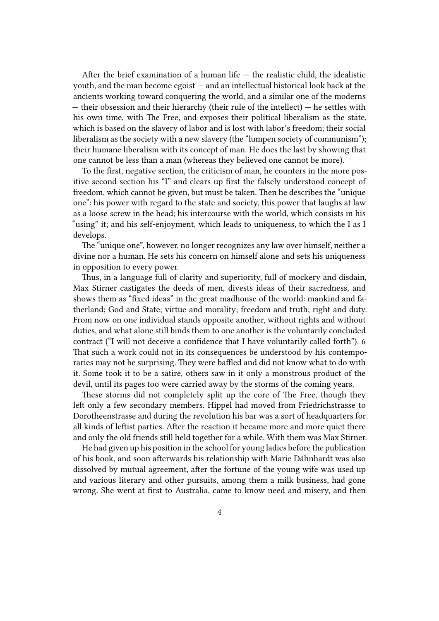After the brief examination of a human life  $-$  the realistic child, the idealistic youth, and the man become egoist — and an intellectual historical look back at the ancients working toward conquering the world, and a similar one of the moderns — their obsession and their hierarchy (their rule of the intellect) — he settles with his own time, with The Free, and exposes their political liberalism as the state, which is based on the slavery of labor and is lost with labor's freedom; their social liberalism as the society with a new slavery (the "lumpen society of communism"); their humane liberalism with its concept of man. He does the last by showing that one cannot be less than a man (whereas they believed one cannot be more).

To the first, negative section, the criticism of man, he counters in the more positive second section his "I" and clears up first the falsely understood concept of freedom, which cannot be given, but must be taken. Then he describes the "unique one": his power with regard to the state and society, this power that laughs at law as a loose screw in the head; his intercourse with the world, which consists in his "using" it; and his self-enjoyment, which leads to uniqueness, to which the I as I develops.

The "unique one", however, no longer recognizes any law over himself, neither a divine nor a human. He sets his concern on himself alone and sets his uniqueness in opposition to every power.

Thus, in a language full of clarity and superiority, full of mockery and disdain, Max Stirner castigates the deeds of men, divests ideas of their sacredness, and shows them as "fixed ideas" in the great madhouse of the world: mankind and fatherland; God and State; virtue and morality; freedom and truth; right and duty. From now on one individual stands opposite another, without rights and without duties, and what alone still binds them to one another is the voluntarily concluded contract ("I will not deceive a confidence that I have voluntarily called forth"). 6 That such a work could not in its consequences be understood by his contemporaries may not be surprising. They were baffled and did not know what to do with it. Some took it to be a satire, others saw in it only a monstrous product of the devil, until its pages too were carried away by the storms of the coming years.

These storms did not completely split up the core of The Free, though they left only a few secondary members. Hippel had moved from Friedrichstrasse to Dorotheenstrasse and during the revolution his bar was a sort of headquarters for all kinds of leftist parties. After the reaction it became more and more quiet there and only the old friends still held together for a while. With them was Max Stirner.

He had given up his position in the school for young ladies before the publication of his book, and soon afterwards his relationship with Marie Dähnhardt was also dissolved by mutual agreement, after the fortune of the young wife was used up and various literary and other pursuits, among them a milk business, had gone wrong. She went at first to Australia, came to know need and misery, and then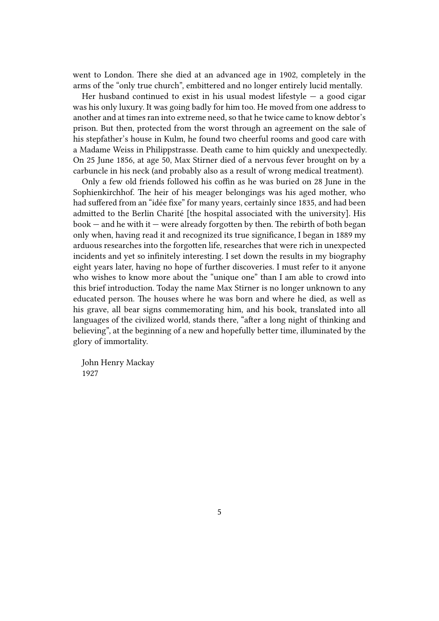went to London. There she died at an advanced age in 1902, completely in the arms of the "only true church", embittered and no longer entirely lucid mentally.

Her husband continued to exist in his usual modest lifestyle  $-$  a good cigar was his only luxury. It was going badly for him too. He moved from one address to another and at times ran into extreme need, so that he twice came to know debtor's prison. But then, protected from the worst through an agreement on the sale of his stepfather's house in Kulm, he found two cheerful rooms and good care with a Madame Weiss in Philippstrasse. Death came to him quickly and unexpectedly. On 25 June 1856, at age 50, Max Stirner died of a nervous fever brought on by a carbuncle in his neck (and probably also as a result of wrong medical treatment).

Only a few old friends followed his coffin as he was buried on 28 June in the Sophienkirchhof. The heir of his meager belongings was his aged mother, who had suffered from an "idée fixe" for many years, certainly since 1835, and had been admitted to the Berlin Charité [the hospital associated with the university]. His  $book - and he with it - were already forgotten by then. The rebirth of both began$ only when, having read it and recognized its true significance, I began in 1889 my arduous researches into the forgotten life, researches that were rich in unexpected incidents and yet so infinitely interesting. I set down the results in my biography eight years later, having no hope of further discoveries. I must refer to it anyone who wishes to know more about the "unique one" than I am able to crowd into this brief introduction. Today the name Max Stirner is no longer unknown to any educated person. The houses where he was born and where he died, as well as his grave, all bear signs commemorating him, and his book, translated into all languages of the civilized world, stands there, "after a long night of thinking and believing", at the beginning of a new and hopefully better time, illuminated by the glory of immortality.

John Henry Mackay 1927